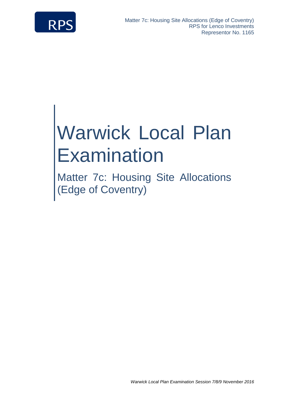

# Warwick Local Plan **Examination**

Matter 7c: Housing Site Allocations (Edge of Coventry)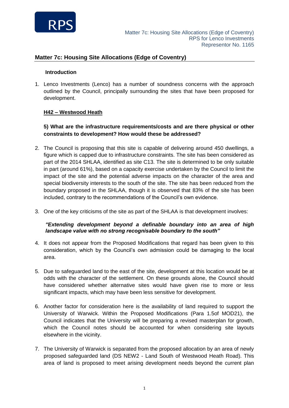

#### **Introduction**

1. Lenco Investments (Lenco) has a number of soundness concerns with the approach outlined by the Council, principally surrounding the sites that have been proposed for development.

### **H42 – Westwood Heath**

# **5) What are the infrastructure requirements/costs and are there physical or other constraints to development? How would these be addressed?**

- 2. The Council is proposing that this site is capable of delivering around 450 dwellings, a figure which is capped due to infrastructure constraints. The site has been considered as part of the 2014 SHLAA, identified as site C13. The site is determined to be only suitable in part (around 61%), based on a capacity exercise undertaken by the Council to limit the impact of the site and the potential adverse impacts on the character of the area and special biodiversity interests to the south of the site. The site has been reduced from the boundary proposed in the SHLAA, though it is observed that 83% of the site has been included, contrary to the recommendations of the Council's own evidence.
- 3. One of the key criticisms of the site as part of the SHLAA is that development involves:

### *"Extending development beyond a definable boundary into an area of high landscape value with no strong recognisable boundary to the south"*

- 4. It does not appear from the Proposed Modifications that regard has been given to this consideration, which by the Council's own admission could be damaging to the local area.
- 5. Due to safeguarded land to the east of the site, development at this location would be at odds with the character of the settlement. On these grounds alone, the Council should have considered whether alternative sites would have given rise to more or less significant impacts, which may have been less sensitive for development.
- 6. Another factor for consideration here is the availability of land required to support the University of Warwick. Within the Proposed Modifications (Para 1.5of MOD21), the Council indicates that the University will be preparing a revised masterplan for growth, which the Council notes should be accounted for when considering site layouts elsewhere in the vicinity.
- 7. The University of Warwick is separated from the proposed allocation by an area of newly proposed safeguarded land (DS NEW2 - Land South of Westwood Heath Road). This area of land is proposed to meet arising development needs beyond the current plan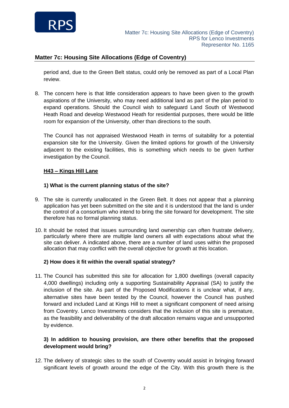

period and, due to the Green Belt status, could only be removed as part of a Local Plan review.

8. The concern here is that little consideration appears to have been given to the growth aspirations of the University, who may need additional land as part of the plan period to expand operations. Should the Council wish to safeguard Land South of Westwood Heath Road and develop Westwood Heath for residential purposes, there would be little room for expansion of the University, other than directions to the south.

The Council has not appraised Westwood Heath in terms of suitability for a potential expansion site for the University. Given the limited options for growth of the University adjacent to the existing facilities, this is something which needs to be given further investigation by the Council.

### **H43 – Kings Hill Lane**

#### **1) What is the current planning status of the site?**

- 9. The site is currently unallocated in the Green Belt. It does not appear that a planning application has yet been submitted on the site and it is understood that the land is under the control of a consortium who intend to bring the site forward for development. The site therefore has no formal planning status.
- 10. It should be noted that issues surrounding land ownership can often frustrate delivery, particularly where there are multiple land owners all with expectations about what the site can deliver. A indicated above, there are a number of land uses within the proposed allocation that may conflict with the overall objective for growth at this location.

### **2) How does it fit within the overall spatial strategy?**

11. The Council has submitted this site for allocation for 1,800 dwellings (overall capacity 4,000 dwellings) including only a supporting Sustainability Appraisal (SA) to justify the inclusion of the site. As part of the Proposed Modifications it is unclear what, if any, alternative sites have been tested by the Council, however the Council has pushed forward and included Land at Kings Hill to meet a significant component of need arising from Coventry. Lenco Investments considers that the inclusion of this site is premature, as the feasibility and deliverability of the draft allocation remains vague and unsupported by evidence.

## **3) In addition to housing provision, are there other benefits that the proposed development would bring?**

12. The delivery of strategic sites to the south of Coventry would assist in bringing forward significant levels of growth around the edge of the City. With this growth there is the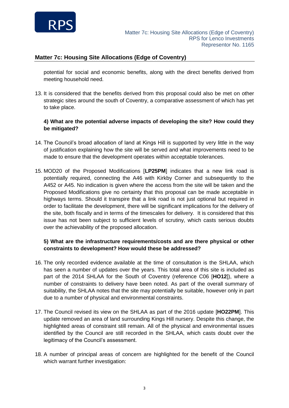

potential for social and economic benefits, along with the direct benefits derived from meeting household need.

13. It is considered that the benefits derived from this proposal could also be met on other strategic sites around the south of Coventry, a comparative assessment of which has yet to take place.

## **4) What are the potential adverse impacts of developing the site? How could they be mitigated?**

- 14. The Council's broad allocation of land at Kings Hill is supported by very little in the way of justification explaining how the site will be served and what improvements need to be made to ensure that the development operates within acceptable tolerances.
- 15. MOD20 of the Proposed Modifications [**LP25PM**] indicates that a new link road is potentially required, connecting the A46 with Kirkby Corner and subsequently to the A452 or A45. No indication is given where the access from the site will be taken and the Proposed Modifications give no certainty that this proposal can be made acceptable in highways terms. Should it transpire that a link road is not just optional but required in order to facilitate the development, there will be significant implications for the delivery of the site, both fiscally and in terms of the timescales for delivery. It is considered that this issue has not been subject to sufficient levels of scrutiny, which casts serious doubts over the achievability of the proposed allocation.

# **5) What are the infrastructure requirements/costs and are there physical or other constraints to development? How would these be addressed?**

- 16. The only recorded evidence available at the time of consultation is the SHLAA, which has seen a number of updates over the years. This total area of this site is included as part of the 2014 SHLAA for the South of Coventry (reference C06 [**HO12**]), where a number of constraints to delivery have been noted. As part of the overall summary of suitability, the SHLAA notes that the site may potentially be suitable, however only in part due to a number of physical and environmental constraints.
- 17. The Council revised its view on the SHLAA as part of the 2016 update [**HO22PM**]. This update removed an area of land surrounding Kings Hill nursery. Despite this change, the highlighted areas of constraint still remain. All of the physical and environmental issues identified by the Council are still recorded in the SHLAA, which casts doubt over the legitimacy of the Council's assessment.
- 18. A number of principal areas of concern are highlighted for the benefit of the Council which warrant further investigation: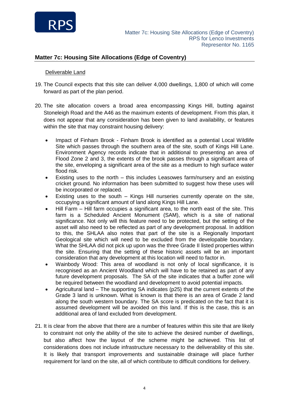

#### Deliverable Land

- 19. The Council expects that this site can deliver 4,000 dwellings, 1,800 of which will come forward as part of the plan period.
- 20. The site allocation covers a broad area encompassing Kings Hill, butting against Stoneleigh Road and the A46 as the maximum extents of development. From this plan, it does not appear that any consideration has been given to land availability, or features within the site that may constraint housing delivery:
	- Impact of Finham Brook Finham Brook is identified as a potential Local Wildlife Site which passes through the southern area of the site, south of Kings Hill Lane. Environment Agency records indicate that in additional to presenting an area of Flood Zone 2 and 3, the extents of the brook passes through a significant area of the site, enveloping a significant area of the site as a medium to high surface water flood risk.
	- Existing uses to the north this includes Leasowes farm/nursery and an existing cricket ground. No information has been submitted to suggest how these uses will be incorporated or replaced.
	- Existing uses to the south Kings Hill nurseries currently operate on the site, occupying a significant amount of land along Kings Hill Lane.
	- Hill Farm Hill farm occupies a significant area, to the north east of the site. This farm is a Scheduled Ancient Monument (SAM), which is a site of national significance. Not only will this feature need to be protected, but the setting of the asset will also need to be reflected as part of any development proposal. In addition to this, the SHLAA also notes that part of the site is a Regionally Important Geological site which will need to be excluded from the developable boundary. What the SHLAA did not pick up upon was the three Grade II listed properties within the site. Ensuring that the setting of these historic assets will be an important consideration that any development at this location will need to factor in.
	- Wainbody Wood: This area of woodland is not only of local significance, it is recognised as an Ancient Woodland which will have to be retained as part of any future development proposals. The SA of the site indicates that a buffer zone will be required between the woodland and development to avoid potential impacts.
	- Agricultural land The supporting SA indicates (p25) that the current extents of the Grade 3 land is unknown. What is known is that there is an area of Grade 2 land along the south western boundary. The SA score is predicated on the fact that it is assumed development will be avoided on this land. If this is the case, this is an additional area of land excluded from development.
- 21. It is clear from the above that there are a number of features within this site that are likely to constraint not only the ability of the site to achieve the desired number of dwellings, but also affect how the layout of the scheme might be achieved. This list of considerations does not include infrastructure necessary to the deliverability of this site. It is likely that transport improvements and sustainable drainage will place further requirement for land on the site, all of which contribute to difficult conditions for delivery.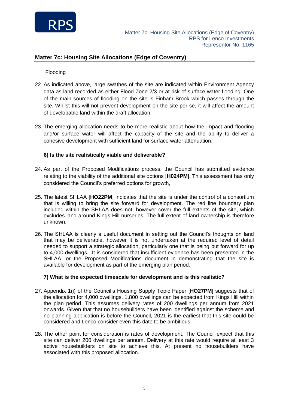

#### Flooding

- 22. As indicated above, large swathes of the site are indicated within Environment Agency data as land recorded as either Flood Zone 2/3 or at risk of surface water flooding. One of the main sources of flooding on the site is Finham Brook which passes through the site. Whilst this will not prevent development on the site per se, it will affect the amount of developable land within the draft allocation.
- 23. The emerging allocation needs to be more realistic about how the impact and flooding and/or surface water will affect the capacity of the site and the ability to deliver a cohesive development with sufficient land for surface water attenuation.

#### **6) Is the site realistically viable and deliverable?**

- 24. As part of the Proposed Modifications process, the Council has submitted evidence relating to the viability of the additional site options [**H024PM**]. This assessment has only considered the Council's preferred options for growth,
- 25. The latest SHLAA [**HO22PM**] indicates that the site is under the control of a consortium that is willing to bring the site forward for development. The red line boundary plan included within the SHLAA does not, however cover the full extents of the site, which excludes land around Kings Hill nurseries. The full extent of land ownership is therefore unknown.
- 26. The SHLAA is clearly a useful document in setting out the Council's thoughts on land that may be deliverable, however it is not undertaken at the required level of detail needed to support a strategic allocation, particularly one that is being put forward for up to 4,000 dwellings. It is considered that insufficient evidence has been presented in the SHLAA, or the Proposed Modifications document in demonstrating that the site is available for development as part of the emerging plan period.

### **7) What is the expected timescale for development and is this realistic?**

- 27. Appendix 1(i) of the Council's Housing Supply Topic Paper [**HO27PM**] suggests that of the allocation for 4,000 dwellings, 1,800 dwellings can be expected from Kings Hill within the plan period. This assumes delivery rates of 200 dwellings per annum from 2021 onwards. Given that that no housebuilders have been identified against the scheme and no planning application is before the Council, 2021 is the earliest that this site could be considered and Lenco consider even this date to be ambitious.
- 28. The other point for consideration is rates of development. The Council expect that this site can deliver 200 dwellings per annum. Delivery at this rate would require at least 3 active housebuilders on site to achieve this. At present no housebuilders have associated with this proposed allocation.